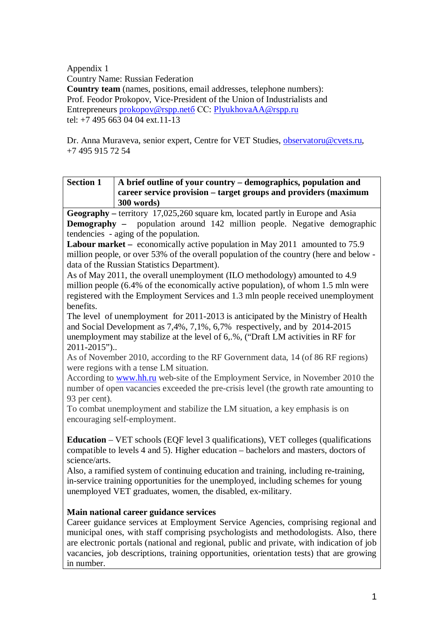Appendix 1

Country Name: Russian Federation

**Country team** (names, positions, email addresses, telephone numbers): Prof. Feodor Prokopov, Vice-President of the Union of Industrialists and Entrepreneurs [prokopov@rspp.net](mailto:prokopov@rspp.netб)б СС: [PlyukhovaAA@rspp.ru](mailto:PlyukhovaAA@rspp.ru) tel: +7 495 663 04 04 ext.11-13

Dr. Anna Muraveva, senior expert, Centre for VET Studies, [observatoru@cvets.ru,](mailto:observatoru@cvets.ru) +7 495 915 72 54

| <b>Section 1</b> | A brief outline of your country – demographics, population and  |
|------------------|-----------------------------------------------------------------|
|                  | career service provision – target groups and providers (maximum |
|                  | 300 words)                                                      |

**Geography –** territory 17,025,260 square km, located partly in Europe and Asia **Demography** – population around 142 million people. Negative demographic tendencies - aging of the population.

**Labour market** – economically active population in May 2011 amounted to 75.9 million people, or over 53% of the overall population of the country (here and below data of the Russian Statistics Department).

As of May 2011, the overall unemployment (ILO methodology) amounted to 4.9 million people (6.4% of the economically active population), of whom 1.5 mln were registered with the Employment Services and 1.3 mln people received unemployment benefits.

The level of unemployment for 2011-2013 is anticipated by the Ministry of Health and Social Development as 7,4%, 7,1%, 6,7% respectively, and by 2014-2015 unemployment may stabilize at the level of 6,.%, ("Draft LM activities in RF for 2011-2015")..

As of November 2010, according to the RF Government data, 14 (of 86 RF regions) were regions with a tense LM situation.

According to [www.hh.ru](http://www.hh.ru/) web-site of the Employment Service, in November 2010 the number of open vacancies exceeded the pre-crisis level (the growth rate amounting to 93 per cent).

To combat unemployment and stabilize the LM situation, a key emphasis is on encouraging self-employment.

**Education** – VET schools (EQF level 3 qualifications), VET colleges (qualifications compatible to levels 4 and 5). Higher education – bachelors and masters, doctors of science/arts.

Also, a ramified system of continuing education and training, including re-training, in-service training opportunities for the unemployed, including schemes for young unemployed VET graduates, women, the disabled, ex-military.

## **Main national career guidance services**

Career guidance services at Employment Service Agencies, comprising regional and municipal ones, with staff comprising psychologists and methodologists. Also, there are electronic portals (national and regional, public and private, with indication of job vacancies, job descriptions, training opportunities, orientation tests) that are growing in number.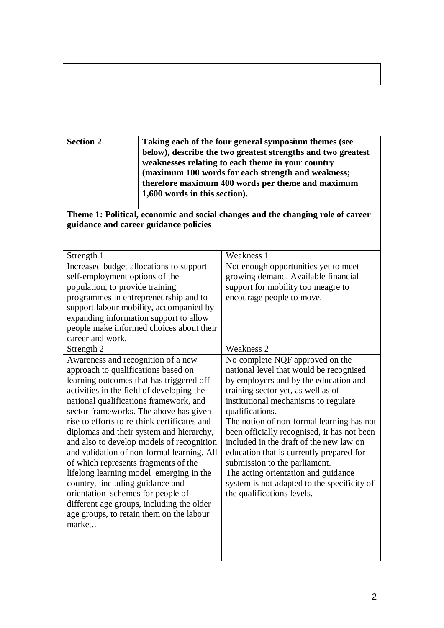| Taking each of the four general symposium themes (see<br>below), describe the two greatest strengths and two greatest<br>weaknesses relating to each theme in your country<br>(maximum 100 words for each strength and weakness;<br>therefore maximum 400 words per theme and maximum<br>1,600 words in this section).               |  |  |  |
|--------------------------------------------------------------------------------------------------------------------------------------------------------------------------------------------------------------------------------------------------------------------------------------------------------------------------------------|--|--|--|
| Theme 1: Political, economic and social changes and the changing role of career                                                                                                                                                                                                                                                      |  |  |  |
|                                                                                                                                                                                                                                                                                                                                      |  |  |  |
|                                                                                                                                                                                                                                                                                                                                      |  |  |  |
| Weakness 1                                                                                                                                                                                                                                                                                                                           |  |  |  |
| Not enough opportunities yet to meet                                                                                                                                                                                                                                                                                                 |  |  |  |
| growing demand. Available financial                                                                                                                                                                                                                                                                                                  |  |  |  |
| support for mobility too meagre to                                                                                                                                                                                                                                                                                                   |  |  |  |
| encourage people to move.                                                                                                                                                                                                                                                                                                            |  |  |  |
|                                                                                                                                                                                                                                                                                                                                      |  |  |  |
|                                                                                                                                                                                                                                                                                                                                      |  |  |  |
|                                                                                                                                                                                                                                                                                                                                      |  |  |  |
| <b>Weakness 2</b>                                                                                                                                                                                                                                                                                                                    |  |  |  |
|                                                                                                                                                                                                                                                                                                                                      |  |  |  |
| No complete NQF approved on the<br>national level that would be recognised                                                                                                                                                                                                                                                           |  |  |  |
| by employers and by the education and                                                                                                                                                                                                                                                                                                |  |  |  |
| training sector yet, as well as of                                                                                                                                                                                                                                                                                                   |  |  |  |
| institutional mechanisms to regulate                                                                                                                                                                                                                                                                                                 |  |  |  |
| qualifications.                                                                                                                                                                                                                                                                                                                      |  |  |  |
| The notion of non-formal learning has not<br>been officially recognised, it has not been<br>included in the draft of the new law on<br>education that is currently prepared for<br>submission to the parliament.<br>The acting orientation and guidance<br>system is not adapted to the specificity of<br>the qualifications levels. |  |  |  |
|                                                                                                                                                                                                                                                                                                                                      |  |  |  |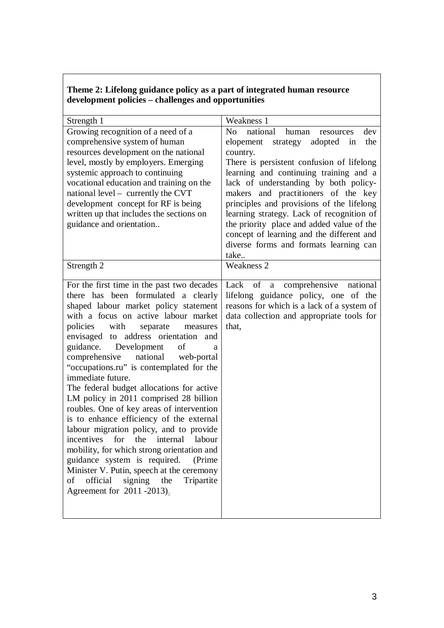| Theme 2: Lifelong guidance policy as a part of integrated human resource |
|--------------------------------------------------------------------------|
| development policies – challenges and opportunities                      |

| Strength 1                                                                                                                                                                                                                                                                                                                                                                                                                                                                                                                                                                                                                                                                                                                                                                                                                                                                                       | Weakness 1                                                                                                                                                                                                                                                                                                                                                                                                                                                                                                   |
|--------------------------------------------------------------------------------------------------------------------------------------------------------------------------------------------------------------------------------------------------------------------------------------------------------------------------------------------------------------------------------------------------------------------------------------------------------------------------------------------------------------------------------------------------------------------------------------------------------------------------------------------------------------------------------------------------------------------------------------------------------------------------------------------------------------------------------------------------------------------------------------------------|--------------------------------------------------------------------------------------------------------------------------------------------------------------------------------------------------------------------------------------------------------------------------------------------------------------------------------------------------------------------------------------------------------------------------------------------------------------------------------------------------------------|
| Growing recognition of a need of a<br>comprehensive system of human<br>resources development on the national<br>level, mostly by employers. Emerging<br>systemic approach to continuing<br>vocational education and training on the<br>national level - currently the CVT<br>development concept for RF is being<br>written up that includes the sections on<br>guidance and orientation                                                                                                                                                                                                                                                                                                                                                                                                                                                                                                         | No national<br>human<br>dev<br>resources<br>the<br>elopement strategy adopted<br>in<br>country.<br>There is persistent confusion of lifelong<br>learning and continuing training and a<br>lack of understanding by both policy-<br>makers and practitioners of the key<br>principles and provisions of the lifelong<br>learning strategy. Lack of recognition of<br>the priority place and added value of the<br>concept of learning and the different and<br>diverse forms and formats learning can<br>take |
| Strength 2                                                                                                                                                                                                                                                                                                                                                                                                                                                                                                                                                                                                                                                                                                                                                                                                                                                                                       | <b>Weakness 2</b>                                                                                                                                                                                                                                                                                                                                                                                                                                                                                            |
| For the first time in the past two decades<br>there has been formulated a clearly<br>shaped labour market policy statement<br>with a focus on active labour market<br>with<br>policies<br>separate<br>measures<br>envisaged to address orientation and<br>guidance.<br>Development<br>of<br>a<br>national<br>comprehensive<br>web-portal<br>"occupations.ru" is contemplated for the<br>immediate future.<br>The federal budget allocations for active<br>LM policy in 2011 comprised 28 billion<br>roubles. One of key areas of intervention<br>is to enhance efficiency of the external<br>labour migration policy, and to provide<br>incentives<br>for the internal labour<br>mobility, for which strong orientation and<br>guidance system is required.<br>(Prime)<br>Minister V. Putin, speech at the ceremony<br>official<br>signing the<br>Tripartite<br>of<br>Agreement for 2011 -2013). | comprehensive<br>of<br>Lack<br>national<br>$\mathbf{a}$<br>lifelong guidance policy, one of the<br>reasons for which is a lack of a system of<br>data collection and appropriate tools for<br>that,                                                                                                                                                                                                                                                                                                          |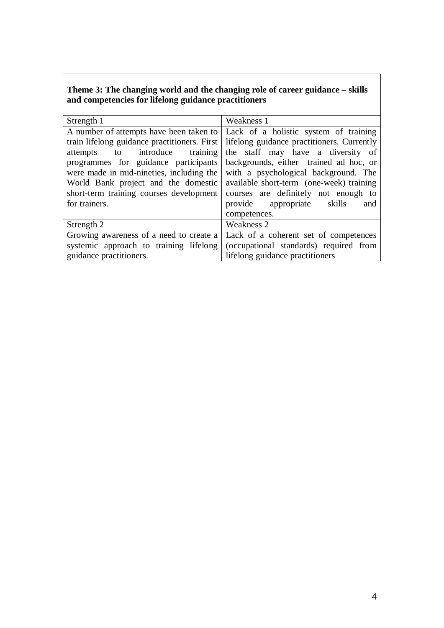## **Theme 3: The changing world and the changing role of career guidance – skills and competencies for lifelong guidance practitioners**

| Strength 1                                   | Weakness 1                                 |  |  |
|----------------------------------------------|--------------------------------------------|--|--|
| A number of attempts have been taken to      | Lack of a holistic system of training      |  |  |
| train lifelong guidance practitioners. First | lifelong guidance practitioners. Currently |  |  |
| to introduce training<br>attempts            | the staff may have a diversity of          |  |  |
| programmes for guidance participants         | backgrounds, either trained ad hoc, or     |  |  |
| were made in mid-nineties, including the     | with a psychological background. The       |  |  |
| World Bank project and the domestic          | available short-term (one-week) training   |  |  |
| short-term training courses development      | courses are definitely not enough to       |  |  |
| for trainers.                                | provide<br>appropriate<br>skills<br>and    |  |  |
|                                              | competences.                               |  |  |
| Strength 2                                   | Weakness 2                                 |  |  |
| Growing awareness of a need to create a      | Lack of a coherent set of competences      |  |  |
| systemic approach to training lifelong       | (occupational standards) required from     |  |  |
| guidance practitioners.                      | lifelong guidance practitioners            |  |  |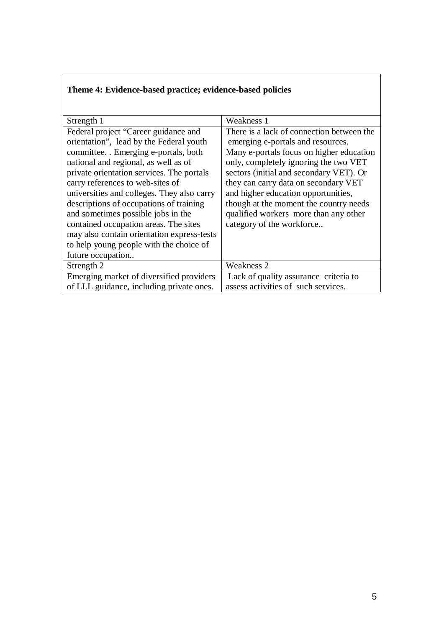| Strength 1                                                                                                                                                                                                                                                                                                                                                                                                                                                                                                         | Weakness 1                                                                                                                                                                                                                                                                                                                                                                                                    |
|--------------------------------------------------------------------------------------------------------------------------------------------------------------------------------------------------------------------------------------------------------------------------------------------------------------------------------------------------------------------------------------------------------------------------------------------------------------------------------------------------------------------|---------------------------------------------------------------------------------------------------------------------------------------------------------------------------------------------------------------------------------------------------------------------------------------------------------------------------------------------------------------------------------------------------------------|
| Federal project "Career guidance and<br>orientation", lead by the Federal youth<br>committee. . Emerging e-portals, both<br>national and regional, as well as of<br>private orientation services. The portals<br>carry references to web-sites of<br>universities and colleges. They also carry<br>descriptions of occupations of training<br>and sometimes possible jobs in the<br>contained occupation areas. The sites<br>may also contain orientation express-tests<br>to help young people with the choice of | There is a lack of connection between the<br>emerging e-portals and resources.<br>Many e-portals focus on higher education<br>only, completely ignoring the two VET<br>sectors (initial and secondary VET). Or<br>they can carry data on secondary VET<br>and higher education opportunities,<br>though at the moment the country needs<br>qualified workers more than any other<br>category of the workforce |
| future occupation<br>Strength 2                                                                                                                                                                                                                                                                                                                                                                                                                                                                                    | Weakness 2                                                                                                                                                                                                                                                                                                                                                                                                    |
| Emerging market of diversified providers                                                                                                                                                                                                                                                                                                                                                                                                                                                                           | Lack of quality assurance criteria to                                                                                                                                                                                                                                                                                                                                                                         |
| of LLL guidance, including private ones.                                                                                                                                                                                                                                                                                                                                                                                                                                                                           | assess activities of such services.                                                                                                                                                                                                                                                                                                                                                                           |

## **Theme 4: Evidence-based practice; evidence-based policies**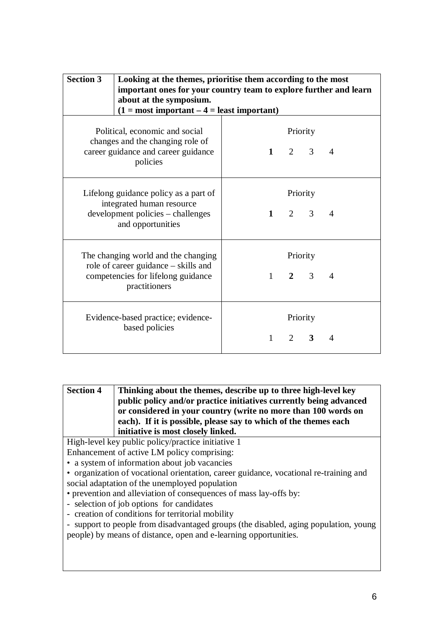| <b>Section 3</b>                                                                                                                   | Looking at the themes, prioritise them according to the most<br>important ones for your country team to explore further and learn<br>about at the symposium.<br>$(1 = most important - 4 = least important)$ |              |                |                         |                |
|------------------------------------------------------------------------------------------------------------------------------------|--------------------------------------------------------------------------------------------------------------------------------------------------------------------------------------------------------------|--------------|----------------|-------------------------|----------------|
| Political, economic and social<br>changes and the changing role of<br>career guidance and career guidance<br>policies              |                                                                                                                                                                                                              | $1 \quad$    |                | Priority<br>$2 \quad 3$ | $\overline{4}$ |
| Lifelong guidance policy as a part of<br>integrated human resource<br>development policies – challenges<br>and opportunities       |                                                                                                                                                                                                              | $1 \quad$    |                | Priority<br>$2 \quad 3$ | $\overline{4}$ |
| The changing world and the changing<br>role of career guidance – skills and<br>competencies for lifelong guidance<br>practitioners |                                                                                                                                                                                                              | $\mathbf{1}$ | $\overline{2}$ | Priority<br>3           | $\overline{4}$ |
|                                                                                                                                    | Evidence-based practice; evidence-<br>based policies                                                                                                                                                         | $\mathbf{1}$ |                | Priority<br>$2 \quad 3$ | 4              |

**Section 4 Thinking about the themes, describe up to three high-level key public policy and/or practice initiatives currently being advanced or considered in your country (write no more than 100 words on each). If it is possible, please say to which of the themes each initiative is most closely linked.**

High-level key public policy/practice initiative 1 Enhancement of active LM policy comprising:

• a system of information about job vacancies

• organization of vocational orientation, career guidance, vocational re-training and social adaptation of the unemployed population

• prevention and alleviation of consequences of mass lay-offs by:

- selection of job options for candidates

- creation of conditions for territorial mobility

- support to people from disadvantaged groups (the disabled, aging population, young people) by means of distance, open and e-learning opportunities.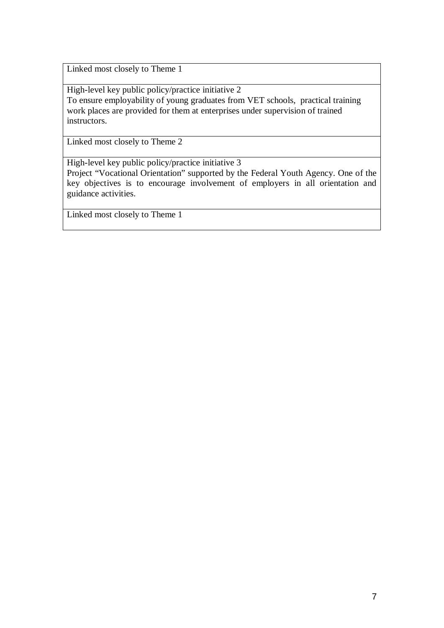Linked most closely to Theme 1

High-level key public policy/practice initiative 2 To ensure employability of young graduates from VET schools, practical training work places are provided for them at enterprises under supervision of trained instructors.

Linked most closely to Theme 2

High-level key public policy/practice initiative 3

Project "Vocational Orientation" supported by the Federal Youth Agency. One of the key objectives is to encourage involvement of employers in all orientation and guidance activities.

Linked most closely to Theme 1